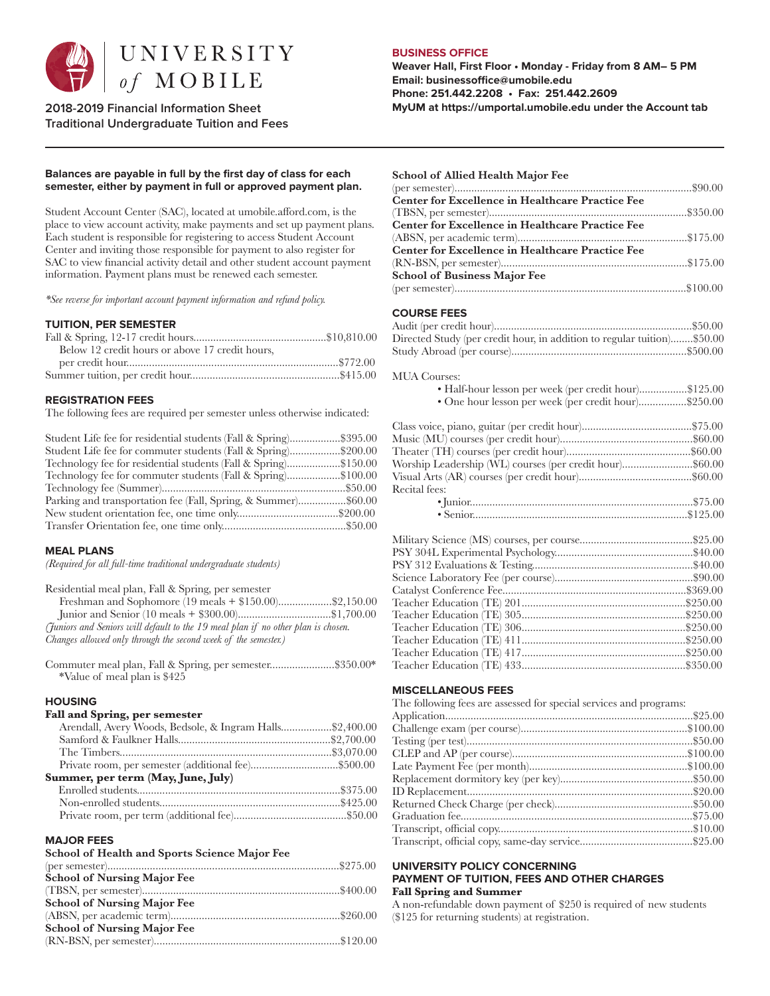

**Traditional Undergraduate Tuition and Fees**

# **BUSINESS OFFICE**

**School of Allied Health Major Fee** 

**Weaver Hall, First Floor • Monday - Friday from 8 AM– 5 PM Email: businessoffice@umobile.edu Phone: 251.442.2208 • Fax: 251.442.2609 2018-2019 Financial Information Sheet MyUM at https://umportal.umobile.edu under the Account tab**

## **Balances are payable in full by the first day of class for each semester, either by payment in full or approved payment plan.**

Student Account Center (SAC), located at umobile.afford.com, is the place to view account activity, make payments and set up payment plans. Each student is responsible for registering to access Student Account Center and inviting those responsible for payment to also register for SAC to view financial activity detail and other student account payment information. Payment plans must be renewed each semester.

*\*See reverse for important account payment information and refund policy.*

#### **TUITION, PER SEMESTER**

| Below 12 credit hours or above 17 credit hours, |  |
|-------------------------------------------------|--|
|                                                 |  |
|                                                 |  |
|                                                 |  |

## **REGISTRATION FEES**

The following fees are required per semester unless otherwise indicated:

| Student Life fee for residential students (Fall & Spring)\$395.00 |  |
|-------------------------------------------------------------------|--|
| Student Life fee for commuter students (Fall & Spring)\$200.00    |  |
| Technology fee for residential students (Fall & Spring)\$150.00   |  |
| Technology fee for commuter students (Fall & Spring)\$100.00      |  |
|                                                                   |  |
| Parking and transportation fee (Fall, Spring, & Summer)\$60.00    |  |
|                                                                   |  |
|                                                                   |  |

### **MEAL PLANS**

*(Required for all full-time traditional undergraduate students)*

| Residential meal plan, Fall & Spring, per semester                                |  |
|-----------------------------------------------------------------------------------|--|
|                                                                                   |  |
|                                                                                   |  |
| (Juniors and Seniors will default to the 19 meal plan if no other plan is chosen. |  |
| Changes allowed only through the second week of the semester.)                    |  |

Commuter meal plan, Fall & Spring, per semester.......................\$350.00\* \*Value of meal plan is \$425

## **HOUSING**

# **Fall and Spring, per semester**

| Arendall, Avery Woods, Bedsole, & Ingram Halls\$2,400.00 |  |
|----------------------------------------------------------|--|
|                                                          |  |
|                                                          |  |
| Private room, per semester (additional fee)\$500.00      |  |
| Summer, per term (May, June, July)                       |  |
|                                                          |  |
|                                                          |  |
|                                                          |  |
|                                                          |  |

#### **MAJOR FEES**

| School of Health and Sports Science Major Fee |  |
|-----------------------------------------------|--|
|                                               |  |
| <b>School of Nursing Major Fee</b>            |  |
|                                               |  |
| <b>School of Nursing Major Fee</b>            |  |
|                                               |  |
| <b>School of Nursing Major Fee</b>            |  |
|                                               |  |

| School of Allied Health Major Fee                                       |
|-------------------------------------------------------------------------|
|                                                                         |
| <b>Center for Excellence in Healthcare Practice Fee</b>                 |
|                                                                         |
| <b>Center for Excellence in Healthcare Practice Fee</b>                 |
|                                                                         |
| <b>Center for Excellence in Healthcare Practice Fee</b>                 |
|                                                                         |
| <b>School of Business Major Fee</b>                                     |
|                                                                         |
|                                                                         |
|                                                                         |
| <b>COURSE FEES</b>                                                      |
|                                                                         |
|                                                                         |
| Directed Study (per credit hour, in addition to regular tuition)\$50.00 |
|                                                                         |
|                                                                         |
| <b>MUA</b> Courses:                                                     |
| · Half-hour lesson per week (per credit hour)\$125.00                   |
| • One hour lesson per week (per credit hour)\$250.00                    |

| Worship Leadership (WL) courses (per credit hour)\$60.00 |  |
|----------------------------------------------------------|--|
|                                                          |  |
| Recital fees:                                            |  |
|                                                          |  |
|                                                          |  |

### **MISCELLANEOUS FEES**

| The following fees are assessed for special services and programs: |  |
|--------------------------------------------------------------------|--|
|                                                                    |  |
|                                                                    |  |
|                                                                    |  |
|                                                                    |  |
|                                                                    |  |
|                                                                    |  |
|                                                                    |  |
|                                                                    |  |
|                                                                    |  |
|                                                                    |  |
|                                                                    |  |

#### **UNIVERSITY POLICY CONCERNING PAYMENT OF TUITION, FEES AND OTHER CHARGES Fall Spring and Summer**

A non-refundable down payment of \$250 is required of new students (\$125 for returning students) at registration.